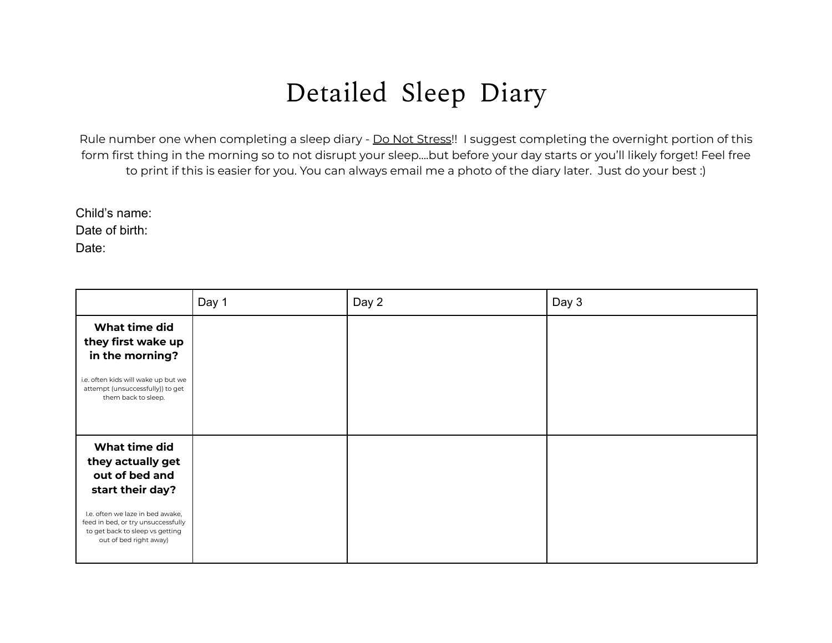## Detailed Sleep Diary

Rule number one when completing a sleep diary - Do Not Stress!! I suggest completing the overnight portion of this form first thing in the morning so to not disrupt your sleep….but before your day starts or you'll likely forget! Feel free to print if this is easier for you. You can always email me a photo of the diary later. Just do your best :)

Child's name: Date of birth: Date:

|                                                                                                                                                                                                                 | Day 1 | Day 2 | Day 3 |
|-----------------------------------------------------------------------------------------------------------------------------------------------------------------------------------------------------------------|-------|-------|-------|
| What time did<br>they first wake up<br>in the morning?<br>i.e. often kids will wake up but we<br>attempt (unsuccessfully)) to get<br>them back to sleep.                                                        |       |       |       |
| What time did<br>they actually get<br>out of bed and<br>start their day?<br>I.e. often we laze in bed awake,<br>feed in bed, or try unsuccessfully<br>to get back to sleep vs getting<br>out of bed right away) |       |       |       |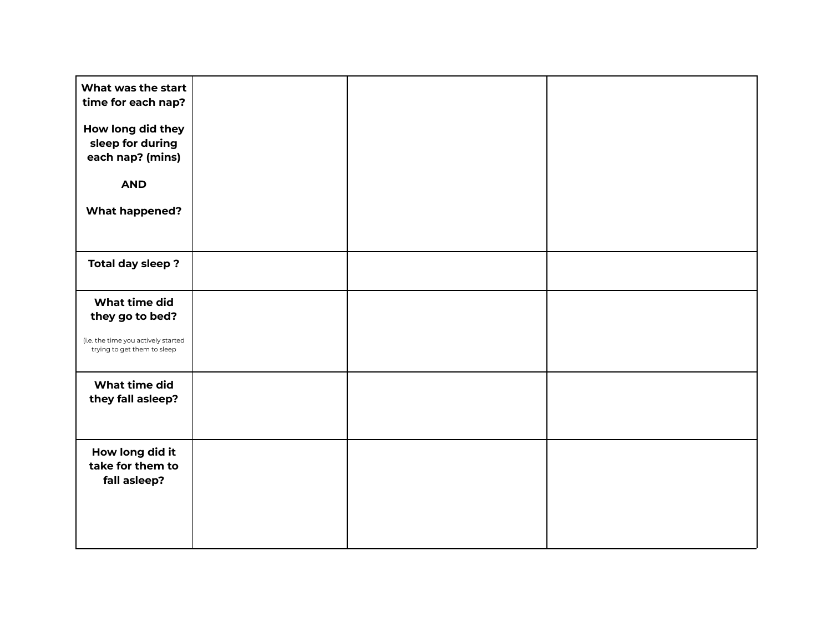| What was the start<br>time for each nap?<br>How long did they<br>sleep for during<br>each nap? (mins) |  |  |
|-------------------------------------------------------------------------------------------------------|--|--|
| <b>AND</b><br><b>What happened?</b>                                                                   |  |  |
| Total day sleep?                                                                                      |  |  |
| What time did                                                                                         |  |  |
| they go to bed?<br>(i.e. the time you actively started<br>trying to get them to sleep                 |  |  |
| What time did<br>they fall asleep?                                                                    |  |  |
| How long did it<br>take for them to<br>fall asleep?                                                   |  |  |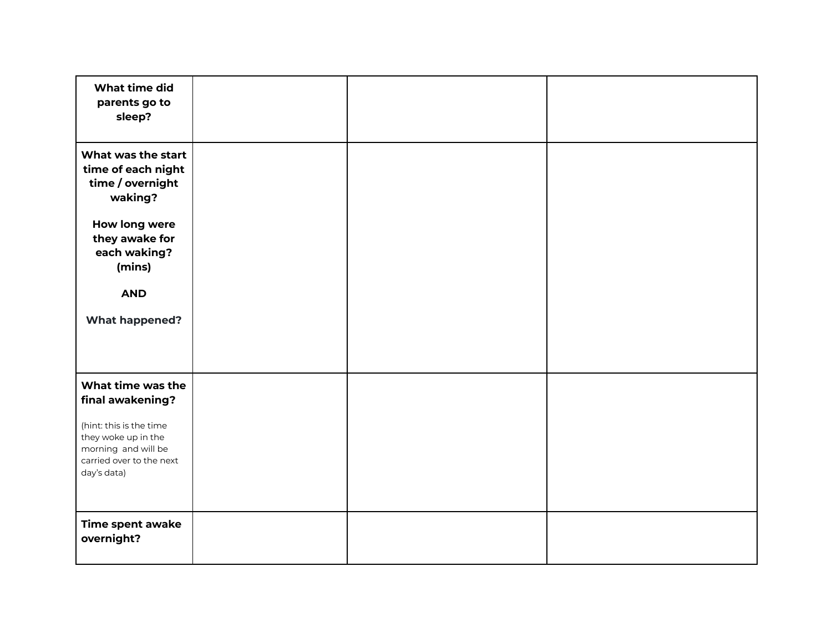| What time did<br>parents go to<br>sleep?                                                                         |  |  |
|------------------------------------------------------------------------------------------------------------------|--|--|
| What was the start<br>time of each night<br>time / overnight<br>waking?                                          |  |  |
| How long were<br>they awake for<br>each waking?<br>(mins)                                                        |  |  |
| <b>AND</b><br><b>What happened?</b>                                                                              |  |  |
|                                                                                                                  |  |  |
| What time was the<br>final awakening?                                                                            |  |  |
| (hint: this is the time<br>they woke up in the<br>morning and will be<br>carried over to the next<br>day's data) |  |  |
| Time spent awake<br>overnight?                                                                                   |  |  |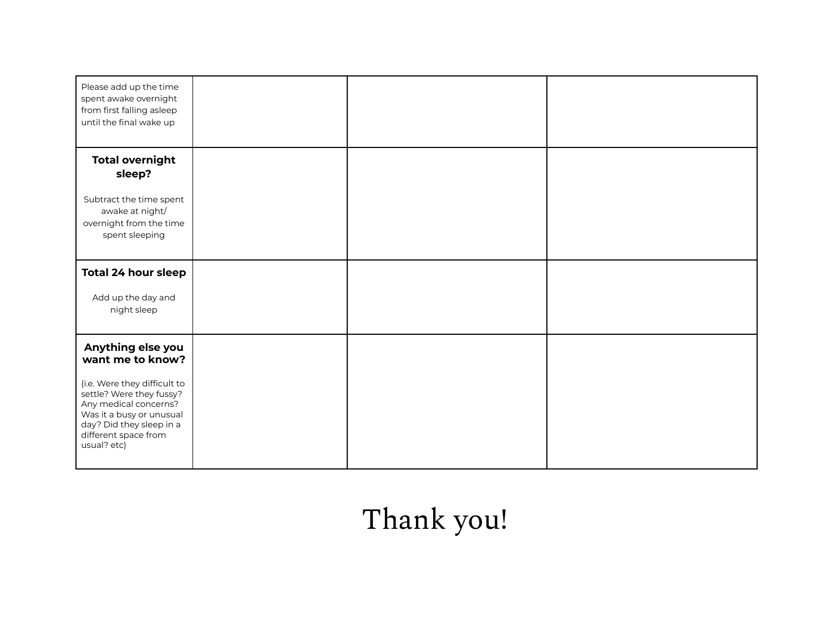| Please add up the time<br>spent awake overnight<br>from first falling asleep<br>until the final wake up                                                                          |  |  |
|----------------------------------------------------------------------------------------------------------------------------------------------------------------------------------|--|--|
| <b>Total overnight</b><br>sleep?                                                                                                                                                 |  |  |
| Subtract the time spent<br>awake at night/<br>overnight from the time<br>spent sleeping                                                                                          |  |  |
| <b>Total 24 hour sleep</b>                                                                                                                                                       |  |  |
| Add up the day and<br>night sleep                                                                                                                                                |  |  |
| Anything else you<br>want me to know?                                                                                                                                            |  |  |
| (i.e. Were they difficult to<br>settle? Were they fussy?<br>Any medical concerns?<br>Was it a busy or unusual<br>day? Did they sleep in a<br>different space from<br>usual? etc) |  |  |

## Thank you!